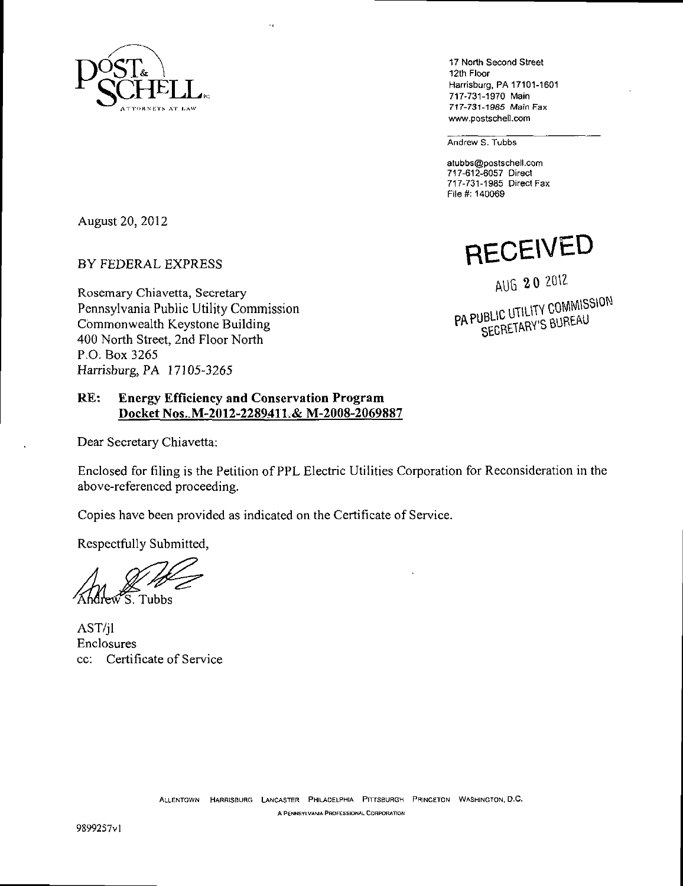

17 North Second Street 12th Floor Harrisburg, PA 17101-1601 717-731-1970 Main 717-731-1985 Main Fax www.postschell.com

Andrew S. Tubbs

atubbs@postschell.com 717-612-6057 Direct 717-731-1985 Direct Fax File #: 140069

August 20, 2012

BY FEDERAL EXPRESS

Rosemary Chiavetta, Secretary Pennsylvania Public Utility Commission Commonwealth Keystone Building 400 North Street, 2nd Floor North P.O. Box 3265 Harrisburg, PA 17105-3265

**RECEIVED** 

**AUG**<sup>20</sup> 2012<br>**PA PUBLIC UTILITY COMMISSION** UBLIC UTILITY OCHILI

# **R E: Energy Efficiency and Conservation Program Docket Nos..M-2012-228941L& M-2008-2069887**

Dear Secretary Chiavetta:

Enclosed for filing is the Petition of PPL Electric Utilities Corporation for Reconsideration in the above-referenced proceeding.

Copies have been provided as indicated on the Certificate of Service.

Respectfully Submitted,

S. Tubbs

AST/jl Enclosures cc: Certificate of Service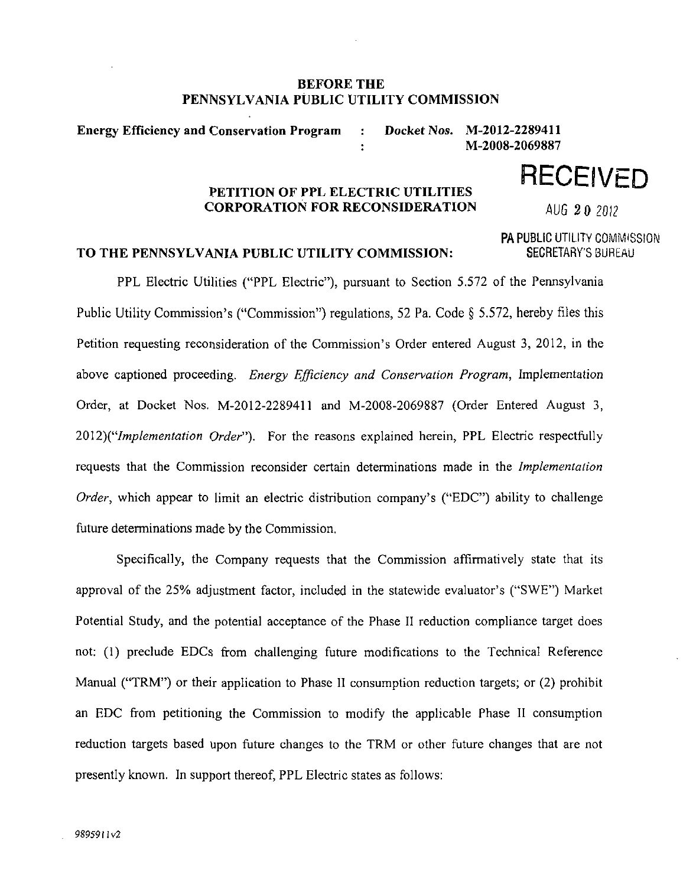# **BEFORE THE PENNSYLVANIA PUBLIC UTILITY COMMISSION**

**Energy Efficiency and Conservation Program : Docket Nos. M-2012-2289411 : M-2008-2069887** 

#### PETITION OF PPL ELECTRIC UTILITIES **CORPORATION FOR RECONSIDERATION** CORPORATION FOR RECONSIDERATION FOR RUG 2 0 2012

PA PUBLIC UTILITY COMMISSION

**RECEIVED** 

# TO THE PENNSYLVANIA PUBLIC UTILITY COMMISSION: SECRETARY'S BUREAU

PPL Electric Utilities ("PPL Electric"), pursuant to Section 5.572 of the Pennsylvania Public Utility Commission's ("Commission") regulations, 52 Pa. Code § 5.572, hereby files this Petition requesting reconsideration of the Commission's Order entered August 3, 2012, in the above captioned proceeding. Energy Efficiency and Conservation Program, Implementation Order, at Docket Nos. M-2012-2289411 and M-2008-2069887 (Order Entered August 3, 2012)("Implementation Order"). For the reasons explained herein, PPL Electric respectfully requests that the Commission reconsider certain determinations made in the Implementation Order, which appear to limit an electric distribution company's ("EDC") ability to challenge future determinations made by the Commission,

Specifically, the Company requests that the Commission affirmatively state that its approval of the 25% adjustment factor, included in the statewide evaluator's ("SWE") Market Potential Study, and the potential acceptance of the Phase II reduction compliance target does not: (1) preclude EDCs from challenging future modifications to the Technical Reference Manual ("TRM") or their application to Phase II consumption reduction targets; or (2) prohibit an EDC from petitioning the Commission to modify the applicable Phase II consumption reduction targets based upon future changes to the TRM or other future changes that are not presently known. In support thereof, PPL Electric states as follows: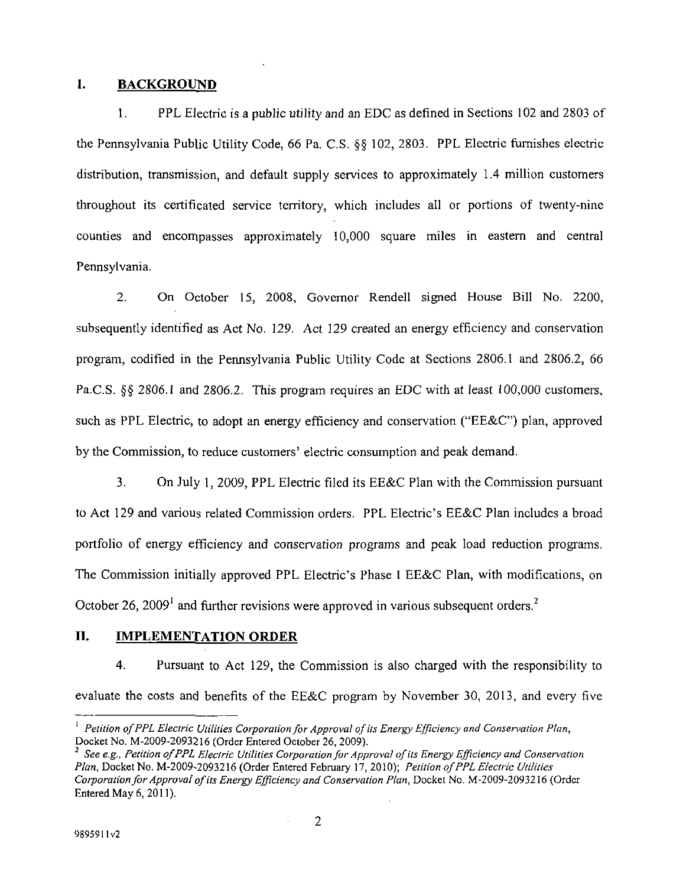## **I. BACKGROUND**

1. PPL Electric is a public utility and an EDC as defined in Sections 102 and 2803 of the Pennsylvania Public Utility Code, 66 Pa. C.S. §§ 102, 2803. PPL Electric furnishes electric distribution, transmission, and default supply services to approximately 1.4 million customers throughout its certificated service territory, which includes all or portions of twenty-nine counties and encompasses approximately 10,000 square miles in eastern and central Pennsylvania.

2. On October 15, 2008, Governor Rendell signed House Bill No. 2200, subsequently identified as Act No. 129. Act 129 created an energy efficiency and conservation program, codified in the Pennsylvania Public Utility Code at Sections 2806.1 and 2806.2, 66 Pa.C.S. §§ 2806.1 and 2806.2. This program requires an EDC with at least 100,000 customers, such as PPL Electric, to adopt an energy efficiency and conservation ("EE&C") plan, approved by the Commission, to reduce customers' electric consumption and peak demand.

3. On July 1, 2009, PPL Electric filed its EE&C Plan with the Commission pursuant to Act 129 and various related Commission orders. PPL Electric's EE&C Plan includes a broad portfolio of energy efficiency and conservation programs and peak load reduction programs. The Commission initially approved PPL Electric's Phase I EE&C Plan, with modifications, on October 26, 2009<sup>1</sup> and further revisions were approved in various subsequent orders.<sup>2</sup>

## **II. IMPLEMENTATION ORDER**

4. Pursuant to Act 129, the Commission is also charged with the responsibility to evaluate the costs and benefits of the EE&C program by November 30, 2013, and every five

<sup>&</sup>lt;sup>1</sup> Petition of PPL Electric Utilities Corporation for Approval of its Energy Efficiency and Conservation Plan, Docket No. M-2009-2093216 (Order Entered October 26, 2009).

 $^2$  See e.g., Petition of PPL Electric Utilities Corporation for Approval of its Energy Efficiency and Conservation Plan, Docket No. M-2009-2093216 (Order Entered February 17, 2010); Petition of PPL Electric Utilities Corporation for Approval of its Energy Efficiency and Conservation Plan, Docket No. M-2009-2093216 (Order Entered May 6, 2011).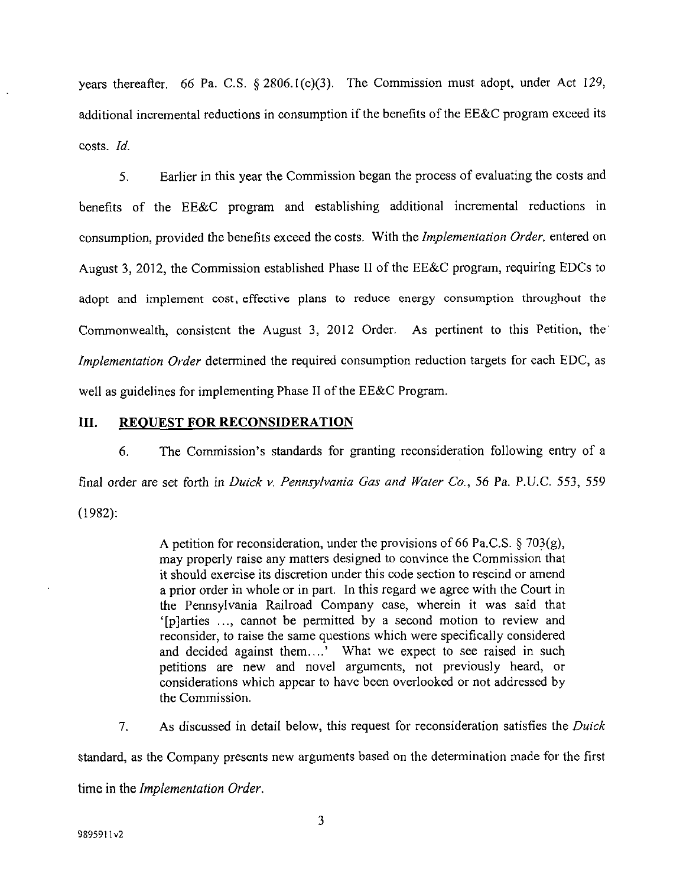*years thereafter. 66 Pa. C.S. § 2806.1(c)(3). The Commission must adopt, under Act 129, additional incremental reductions in consumption if the benefits of the EE&C program exceed its costs. Id.* 

5. Earlier in this year the Commission began the process of evaluating the costs and benefits of the EE&C program and establishing additional incremental reductions in consumption, provided the benefits exceed the costs. With the Implementation Order, entered on August 3, 2012, the Commission established Phase II of the EE&C program, requiring EDCs to adopt and implement cost, effective plans to reduce energy consumption throughout the Commonwealth, consistent the August 3, 2012 Order. As pertinent to this Petition, the Implementation Order determined the required consumption reduction targets for each EDC, as well as guidelines for implementing Phase II of the EE&C Program.

# III. REQUEST FOR RECONSIDERATION

6. The Commission's standards for granting reconsideration following entry of a final order are set forth in Duick v. Pennsylvania Gas and Water Co., 56 Pa. P.U.C. 553, 559 (1982):

> A petition for reconsideration, under the provisions of 66 Pa.C.S.  $\S$  703(g), may properly raise any matters designed to convince the Commission that it should exercise its discretion under this code section to rescind or amend a prior order in whole or in part. In this regard we agree with the Court in the Pennsylvania Railroad Company case, wherein it was said that '[p]arties ..., cannot be permitted by a second motion to review and reconsider, to raise the same questions which were specifically considered and decided against them....' What we expect to see raised in such petitions are new and novel arguments, not previously heard, or considerations which appear to have been overlooked or not addressed by the Commission.

*7. As discussed in detail below, this request for reconsideration satisfies the Duick standard, as the Company presents new arguments based on the determination made for the first time in the Implementation Order.* 

3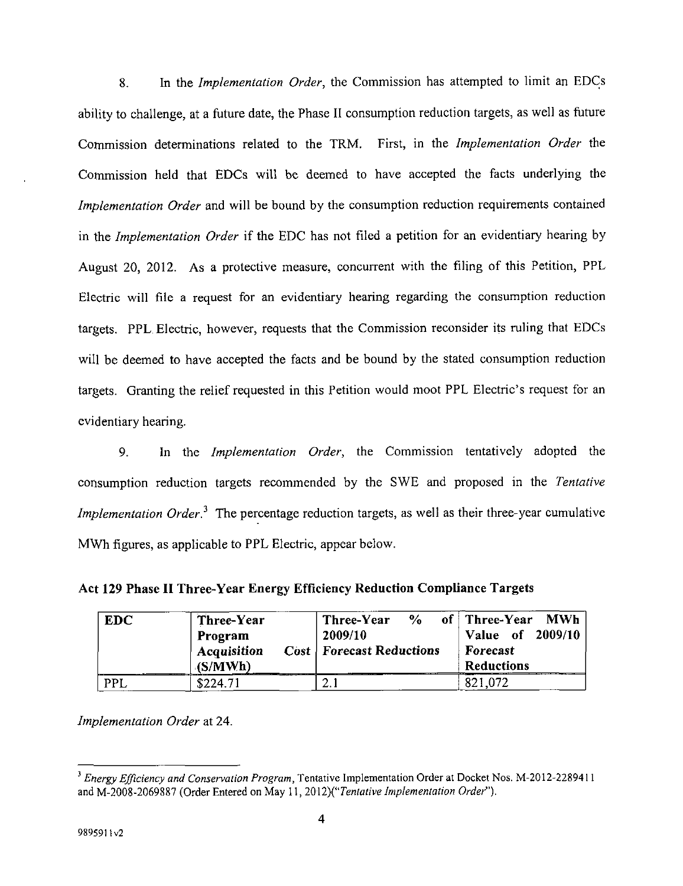8. In the Implementation Order, the Commission has attempted to limit an EDCs ability to challenge, at a future date, the Phase II consumption reduction targets, as well as future Commission determinations related to the TRM. First, in the Implementation Order the Commission held that EDCs will be deemed to have accepted the facts underlying the Implementation Order and will be bound by the consumption reduction requirements contained in the Implementation Order if the EDC has not filed a petition for an evidentiary hearing by August 20, 2012. As a protective measure, concurrent with the filing of this Petition, PPL Electric will file a request for an evidentiary hearing regarding the consumption reduction targets. PPL Electric, however, requests that the Commission reconsider its ruling that EDCs will be deemed to have accepted the facts and be bound by the stated consumption reduction targets. Granting the relief requested in this Petition would moot PPL Electric's request for an evidentiary hearing.

9. In the *Implementation Order*, the Commission tentatively adopted the consumption reduction targets recommended by the SWE and proposed in the Tentative *Implementation Order*<sup>3</sup>. The percentage reduction targets, as well as their three-year cumulative MWh figures, as applicable to PPL Electric, appear below.

**Act 129 Phase II Three-Year Energy Efficiency Reduction Compliance Targets** 

| <b>EDC</b> | Three-Year<br>Program<br>Acquisition<br>(S/MWh) | $\frac{0}{2}$<br>Three-Year<br>2009/10<br><b>Cost   Forecast Reductions</b> | of   Three-Year<br>MWh<br>Value of 2009/10<br><b>Forecast</b><br><b>Reductions</b> |
|------------|-------------------------------------------------|-----------------------------------------------------------------------------|------------------------------------------------------------------------------------|
| PPL        | \$224.71                                        |                                                                             | 821,072                                                                            |

Implementation Order at 24.

<sup>&</sup>lt;sup>3</sup> *Energy Efficiency and Conservation Program*, Tentative Implementation Order at Docket Nos. M-2012-2289411 and M-2008-2069887 (Order Entered on May 11, 2012)(*"Tentative Implementation Order"*).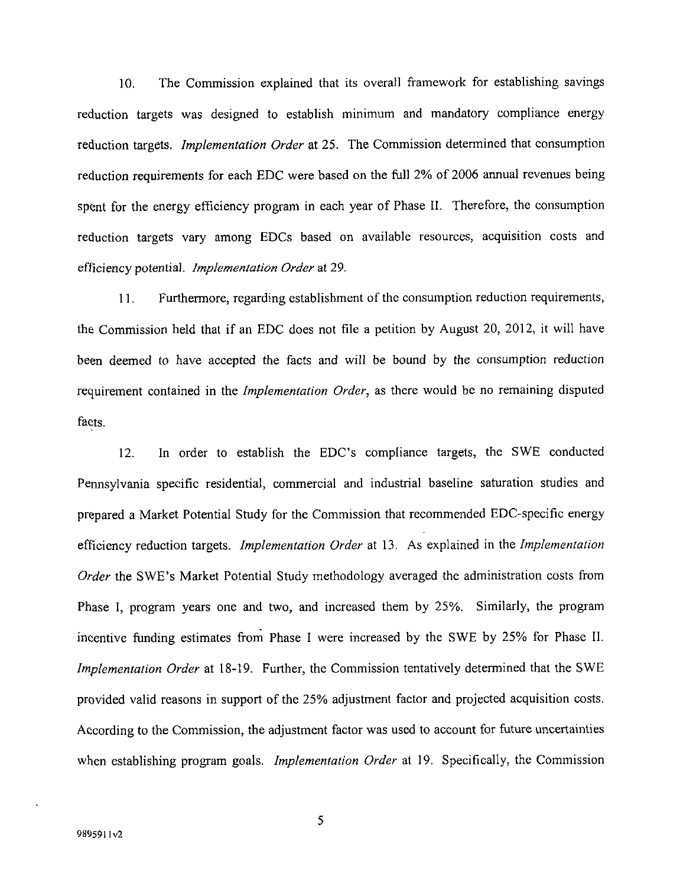10. The Commission explained that its overall framework for establishing savings reduction targets was designed to establish minimum and mandatory compliance energy reduction targets. *Implementation Order* at 25. The Commission determined that consumption reduction requirements for each EDC were based on the full 2% of 2006 annual revenues being spent for the energy efficiency program in each year of Phase II. Therefore, the consumption reduction targets vary among EDCs based on available resources, acquisition costs and efficiency potential. Implementation Order at 29.

11. Furthermore, regarding establishment of the consumption reduction requirements, the Commission held that if an EDC does not file a petition by August 20, 2012, it will have been deemed to have accepted the facts and will be bound by the consumption reduction requirement contained in the Implementation Order, as there would be no remaining disputed facts.

12. In order to establish the EDC's compliance targets, the SWE conducted Pennsylvania specific residential, commercial and industrial baseline saturation studies and prepared a Market Potential Study for the Commission that recommended EDC-specific energy efficiency reduction targets. Implementation Order at 13. As explained in the Implementation Order the SWE's Market Potential Study methodology averaged the administration costs from Phase I, program years one and two, and increased them by 25%. Similarly, the program incentive funding estimates from Phase I were increased by the SWE by 25% for Phase II. Implementation Order at 18-19. Further, the Commission tentatively determined that the SWE provided valid reasons in support of the 25% adjustment factor and projected acquisition costs. According to the Commission, the adjustment factor was used to account for future uncertainties when establishing program goals. Implementation Order at 19. Specifically, the Commission

5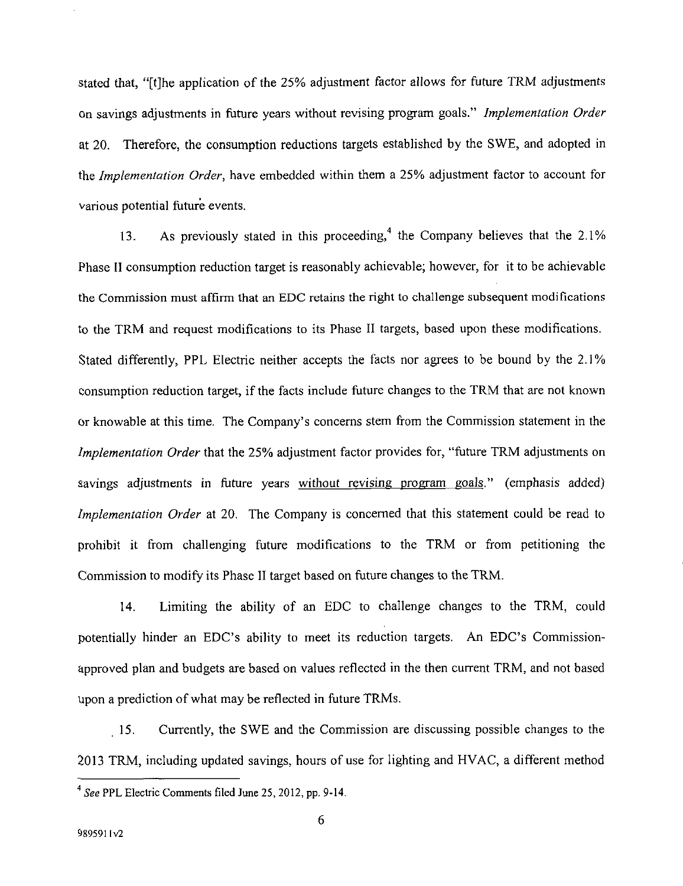stated that, "[t]he application of the 25% adjustment factor allows for future TRM adjustments on savings adjustments in future years without revising program goals." Implementation Order at 20. Therefore, the consumption reductions targets established by the SWE, and adopted in the Implementation Order, have embedded within them a 25% adjustment factor to account for various potential future events.

13. As previously stated in this proceeding,<sup>4</sup> the Company believes that the  $2.1\%$ Phase II consumption reduction target is reasonably achievable; however, for it to be achievable the Commission must affirm that an EDC retains the right to challenge subsequent modifications to the TRM and request modifications to its Phase II targets, based upon these modifications. Stated differently, PPL Electric neither accepts the facts nor agrees to be bound by the 2.1% consumption reduction target, if the facts include future changes to the TRM that are not known or knowable at this time. The Company's concerns stem from the Commission statement in the Implementation Order that the 25% adjustment factor provides for, "future TRM adjustments on savings adjustments in future years without revising program goals." (emphasis added) Implementation Order at 20. The Company is concerned that this statement could be read to prohibit it from challenging future modifications to the TRM or from petitioning the Commission to modify its Phase II target based on future changes to the TRM.

14. Limiting the ability of an EDC to challenge changes to the TRM, could potentially hinder an EDC's ability to meet its reduction targets. An EDC's Commissionapproved plan and budgets are based on values reflected in the then current TRM, and not based upon a prediction of what may be reflected in future TRMs.

15. Currently, the SWE and the Commission are discussing possible changes to the 2013 TRM, including updated savings, hours of use for lighting and HVAC, a different method

<sup>4</sup> See PPL Electric Comments filed June 25, 2012, pp. 9-14.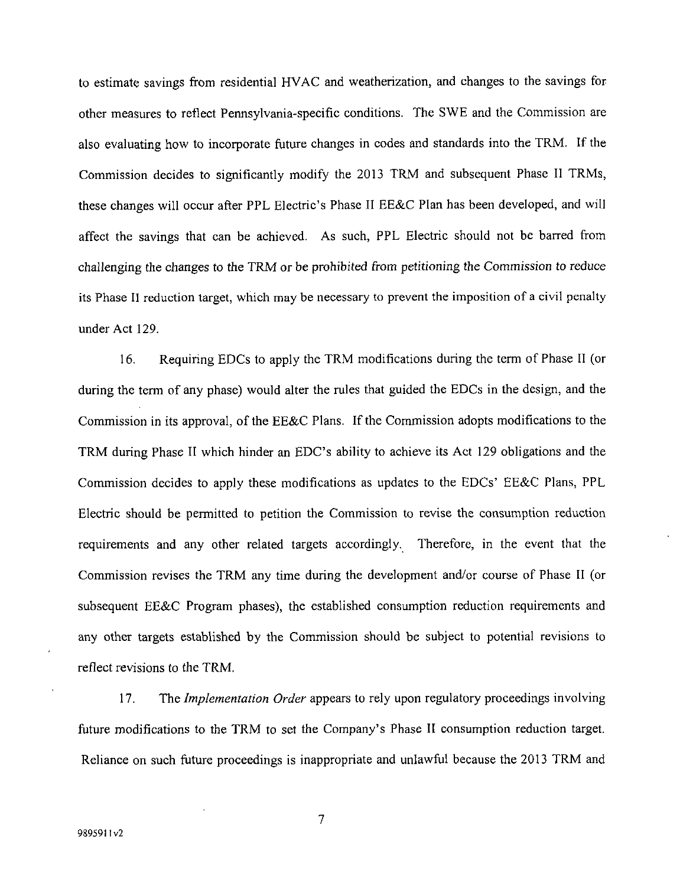to estimate savings from residential HVAC and weatherization, and changes to the savings for other measures to reflect Pennsylvania-specific conditions. The SWE and the Commission are also evaluating how to incorporate future changes in codes and standards into the TRM. If the Commission decides to significantly modify the 2013 TRM and subsequent Phase II TRMs, these changes will occur after PPL Electric's Phase II EE&C Plan has been developed, and will affect the savings that can be achieved. As such, PPL Electric should not be barred from challenging the changes to the TRM or be prohibited from petitioning the Commission to reduce its Phase II reduction target, which may be necessary to prevent the imposition of a civil penalty under Act 129.

16. Requiring EDCs to apply the TRM modifications during the term of Phase II (or during the term of any phase) would alter the rules that guided the EDCs in the design, and the Commission in its approval, of the EE&C Plans. If the Commission adopts modifications to the TRM during Phase II which hinder an EDC's ability to achieve its Act 129 obligations and the Commission decides to apply these modifications as updates to the EDCs' EE&C Plans, PPL Electric should be permitted to petition the Commission to revise the consumption reduction requirements and any other related targets accordingly. Therefore, in the event that the Commission revises the TRM any time during the development and/or course of Phase II (or subsequent EE&C Program phases), the established consumption reduction requirements and any other targets established by the Commission should be subject to potential revisions to reflect revisions to the TRM.

17. The *Implementation Order* appears to rely upon regulatory proceedings involving future modifications to the TRM to set the Company's Phase II consumption reduction target. Reliance on such future proceedings is inappropriate and unlawful because the 2013 TRM and

 $\overline{7}$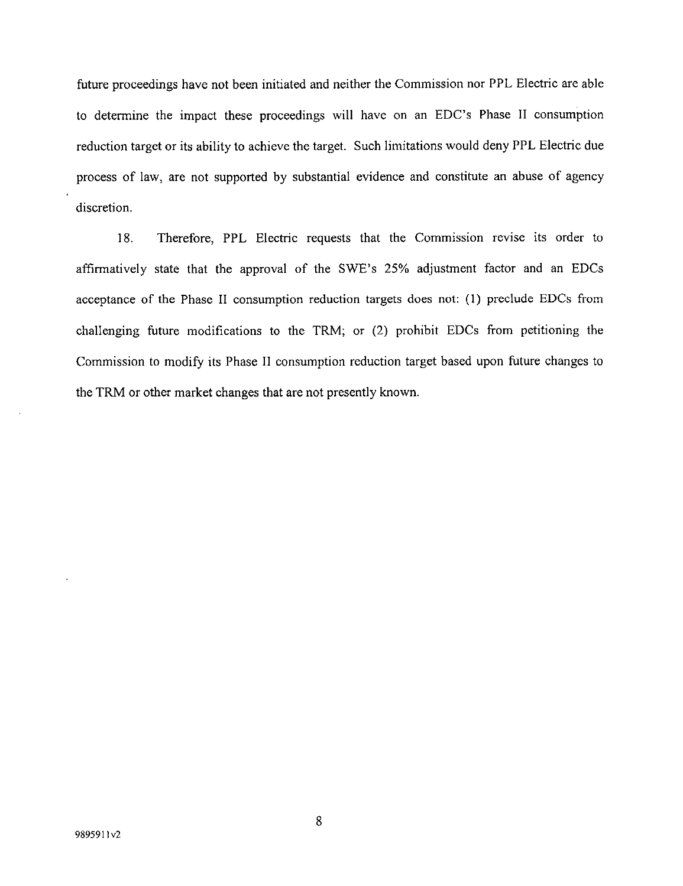future proceedings have not been initiated and neither the Commission nor PPL Electric are able to determine the impact these proceedings will have on an EDC's Phase II consumption reduction target or its ability to achieve the target. Such limitations would deny PPL Electric due process of law, are not supported by substantial evidence and constitute an abuse of agency discretion.

18. Therefore, PPL Electric requests that the Commission revise its order to affirmatively state that the approval of the SWE's 25% adjustment factor and an EDCs acceptance of the Phase II consumption reduction targets does not: (1) preclude EDCs from challenging future modifications to the TRM; or (2) prohibit EDCs from petitioning the Commission to modify its Phase II consumption reduction target based upon future changes to the TRM or other market changes that are not presently known.

8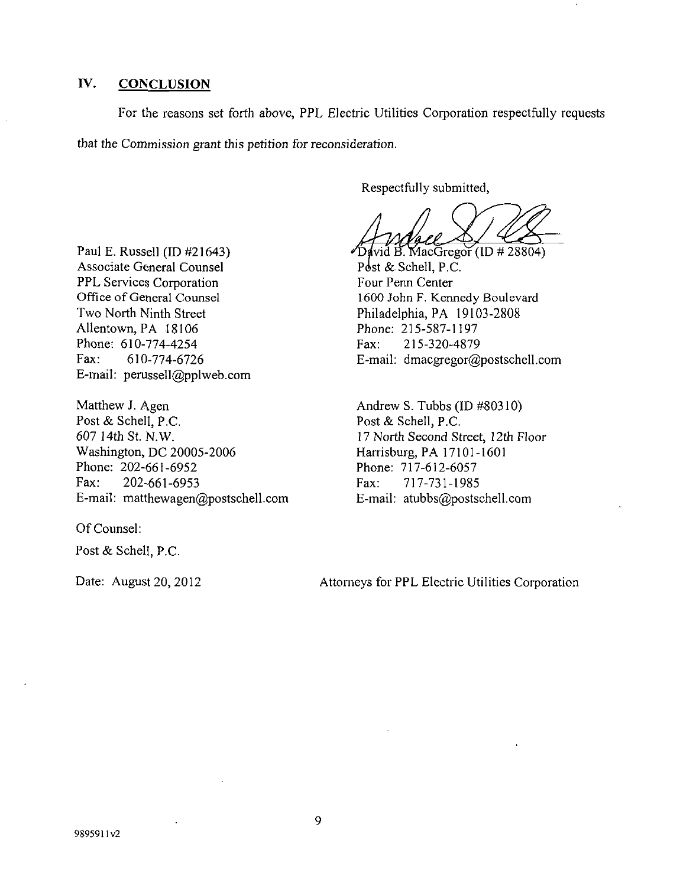# **IV. CONCLUSION**

For the reasons set forth above, PPL Electric Utilities Corporation respectfully requests that the Commission grant this petition for reconsideration.

Respectfully submitted,

 $\frac{1}{4}$ vid B. MacGregor (ID # 28804) Post & Schell, P.C. Four Penn Center 1600 John F. Kennedy Boulevard Philadelphia, PA 19103-2808 Phone: 215-587-1197<br>Fax: 215-320-4879 Fax: 215-320-4879 E-mail: dmacgregor@postschell.com

Andrew S. Tubbs (ID #80310) Post & Schell, P.C. 17 North Second Street, 12th Floor Harrisburg, PA 17101-1601 Phone: 717-612-6057 Fax: 717-731-1985 E-mail: atubbs@postschell.com

Paul E. Russell (ID #21643) Associate General Counsel PPL Services Corporation Office of General Counsel Two North Ninth Street Allentown, PA 18106 Phone: 610-774-4254 Fax: 610-774-6726 E-mail: perussell@pplweb.com

Matthew J. Agen Post & Schell, P.C. 607 14th St. N.W. Washington, DC 20005-2006 Phone: 202-661-6952 Fax: 202-661-6953 E-mail: matthewagen@postschell.com

Of Counsel:

Post & Schell, P.C.

Date: August 20, 2012

Attorneys for PPL Electric Utilities Corporation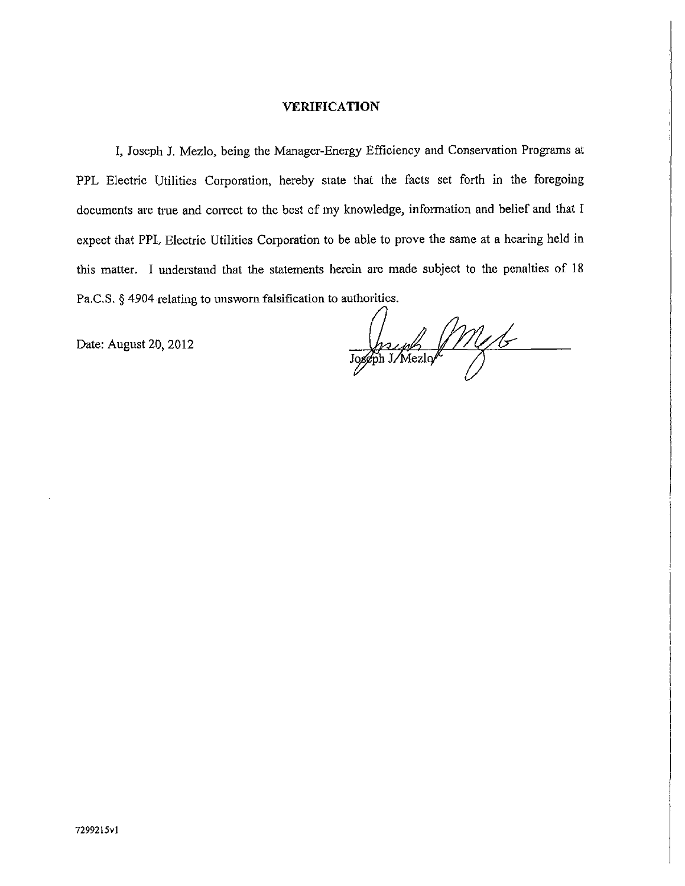#### **VERIFICATION**

I, Joseph J. Mezlo, being the Manager-Energy Efficiency and Conservation Programs at PPL Electric Utilities Corporation, hereby state that the facts set forth in the foregoing documents are true and correct to the best of my knowledge, information and belief and that I expect that PPL Electric Utilities Corporation to be able to prove the same at a hearing held in this matter. I understand that the statements herein are made subject to the penalties of 18 Pa.C.S. § 4904 relating to unsworn falsification to authorities.

Date: August 20, 2012

Joseph JM46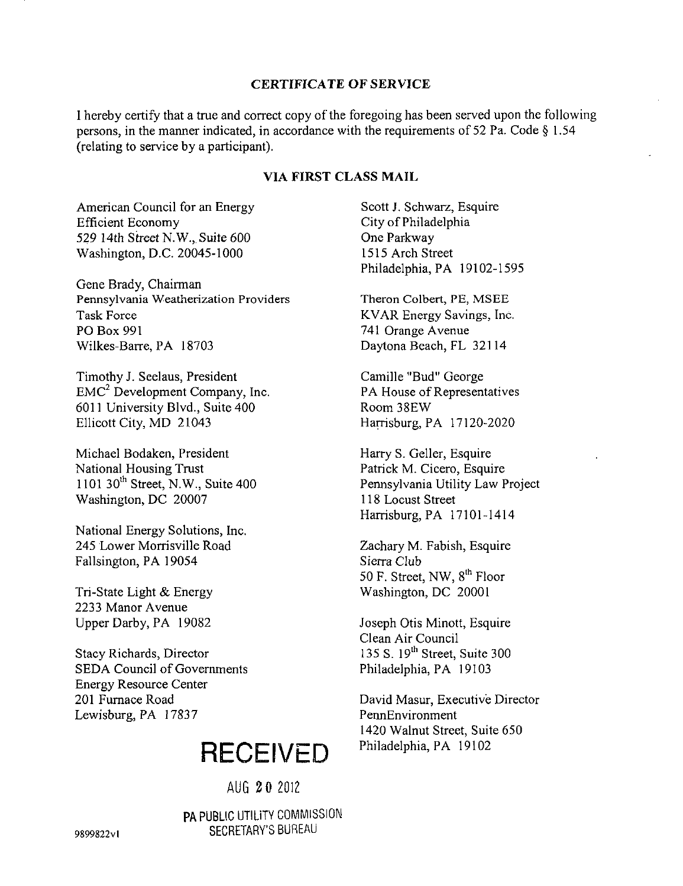## **CERTIFICATE OF SERVIC E**

I hereby certify that a true and correct copy of the foregoing has been served upon the following persons, in the manner indicated, in accordance with the requirements of 52 Pa. Code § 1.54 (relating to service by a participant).

# **VIA FIRST CLASS MAIL**

American Council for an Energy Efficient Economy 529 14th Street N.W., Suite 600 Washington, D.C. 20045-1000

Gene Brady, Chairman Pennsylvania Weatherization Providers Task Force PO Box 991 Wilkes-Barre, PA 18703

Timothy J. Seelaus, President EMC<sup>2</sup> Development Company, Inc. 6011 University Blvd., Suite 400 Ellicott City, MD 21043

Michael Bodaken, President National Housing Trust 1101 30<sup>th</sup> Street, N.W., Suite 400 Washington, DC 20007

National Energy Solutions, Inc. 245 Lower Morrisville Road Fallsington, PA 19054

Tri-State Light & Energy 2233 Manor Avenue Upper Darby, PA 19082

Stacy Richards, Director SEDA Council of Governments Energy Resource Center 201 Furnace Road Lewisburg, PA 17837

# **RECEIVED**

AUG 2 0 2012

PA PUBLIC UTILITY COMMISSION SECRETARY'S BUREAU

Scott J. Schwarz, Esquire City of Philadelphia One Parkway 1515 Arch Street Philadelphia, PA 19102-1595

Theron Colbert, PE, MSEE KVAR Energy Savings, Inc. 741 Orange Avenue Daytona Beach, FL 32114

Camille "Bud" George PA House of Representatives Room 38EW Harrisburg, PA 17120-2020

Harry S. Geller, Esquire Patrick M. Cicero, Esquire Pennsylvania Utility Law Project 118 Locust Street Harrisburg, PA 17101-1414

Zachary M. Fabish, Esquire Sierra Club 50 F. Street, NW, 8<sup>th</sup> Floor Washington, DC 20001

Joseph Otis Minott, Esquire Clean Air Council  $135 S. 19<sup>th</sup> Street, Suite 300$ Philadelphia, PA 19103

David Masur, Executive Director PennEnvironment 1420 Walnut Street, Suite 650 Philadelphia, PA 19102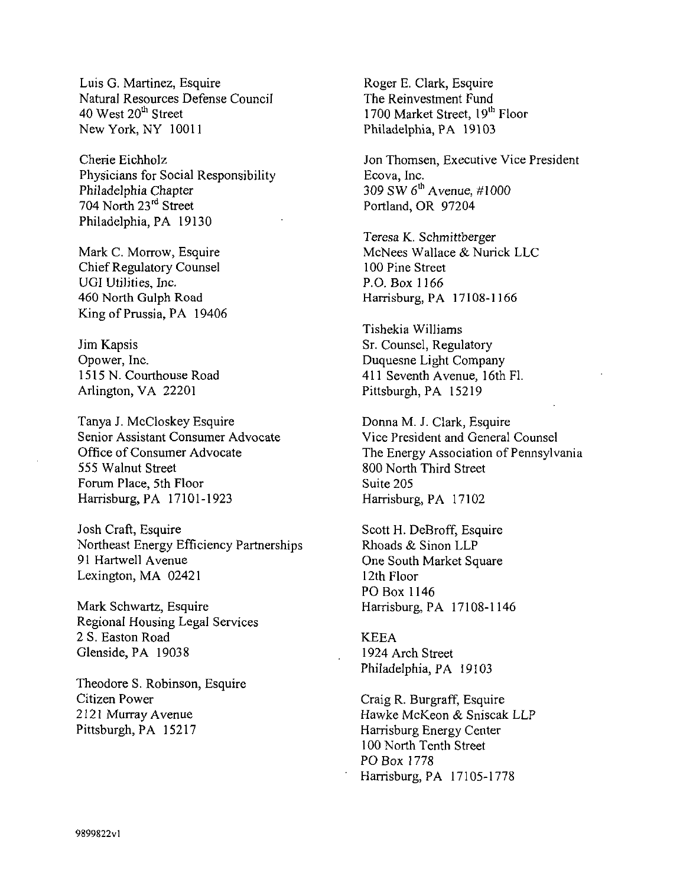Luis G. Martinez, Esquire Natural Resources Defense Council 40 West 20<sup>th</sup> Street New York, NY 10011

Cherie Eichholz Physicians for Social Responsibility Philadelphia Chapter 704 North 23rd Street Philadelphia, PA 19130

Mark C. Morrow, Esquire Chief Regulatory Counsel UGI Utilities, Inc. 460 North Gulph Road King of Prussia, PA 19406

Jim Kapsis Opower, Inc. 1515 N. Courthouse Road Arlington, VA 22201

Tanya J. McCloskey Esquire Senior Assistant Consumer Advocate Office of Consumer Advocate 555 Walnut Street Forum Place, 5th Floor Harrisburg, PA 17101-1923

Josh Craft, Esquire Northeast Energy Efficiency Partnerships 91 Hartwell Avenue Lexington, MA 02421

Mark Schwartz, Esquire Regional Housing Legal Services 2 S. Easton Road Glenside, PA 19038

Theodore S. Robinson, Esquire Citizen Power 2121 Murray Avenue Pittsburgh, PA 15217

Roger E. Clark, Esquire The Reinvestment Fund 1700 Market Street, 19<sup>th</sup> Floor Philadelphia, PA 19103

Jon Thomsen, Executive Vice President Ecova, Inc. 309 SW  $6^{\text{th}}$  Avenue, #1000 Portland, OR 97204

Teresa K. Schmittberger McNees Wallace & Nurick LLC 100 Pine Street P.O. Box 1166 Harrisburg, PA 17108-1166

Tishekia Williams Sr. Counsel, Regulatory Duquesne Light Company 411 Seventh Avenue, 16th Fl. Pittsburgh, PA 15219

Donna M. J. Clark, Esquire Vice President and General Counsel The Energy Association of Pennsylvania 800 North Third Street Suite 205 Harrisburg, PA 17102

Scott H. DeBroff, Esquire Rhoads & Sinon LLP One South Market Square 12th Floor PO Box 1146  $\mathcal{L}$ 

#### **KEEA**

1924 Arch Street Philadelphia, PA 19103

Craig R. Burgraff, Esquire Hawke McKeon & Sniscak LLP Harrisburg Energy Center 100 North Tenth Street PO Box 1778 Hanisburg, PA 17105-1778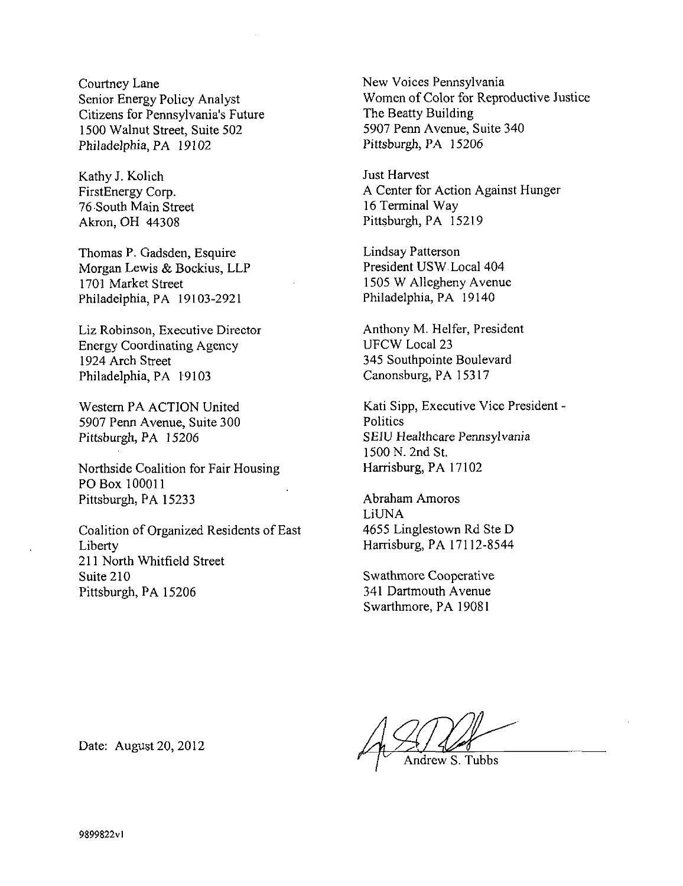Courtney Lane Senior Energy Policy Analyst Citizens for Pennsylvania's Future 1500 Walnut Street, Suite 502 Philadelphia, PA 19102

Kathy J. Kolich FirstEnergy Corp. 76 South Main Street Akron, OH 44308

Thomas P. Gadsden, Esquire Morgan Lewis & Bockius, LLP 1701 Market Street Philadelphia, PA 19103-2921

Liz Robinson, Executive Director Energy Coordinating Agency 1924 Arch Street Philadelphia, PA 19103

Western PA ACTION United 5907 Penn Avenue, Suite 300 Pittsburgh, PA 15206

Northside Coalition for Fair Housing POBox 100011 Pittsburgh, PA 15233

Coalition of Organized Residents of East Liberty 211 North Whitfield Street Suite 210 Pittsburgh, PA 15206

New Voices Pennsylvania Women of Color for Reproductive Justice The Beatty Building 5907 Penn Avenue, Suite 340 Pittsburgh, PA 15206

Just Harvest A Center for Action Against Hunger 16 Terminal Way Pittsburgh, PA 15219

Lindsay Patterson President USW Local 404 1505 W Allegheny Avenue Philadelphia, PA 19140

Anthony M. Heifer, President UFCW Local 23 345 Southpointe Boulevard Canonsburg, PA 15317

Kati Sipp, Executive Vice President - **Politics** SEIU Healthcare Pennsylvania 1500 N. 2nd St. Harrisburg, PA 17102

Abraham Amoros LiUNA 4655 Linglestown Rd Ste D Harrisburg, PA 17112-8544

Swathmore Cooperative 341 Dartmouth Avenue Swarthmore, PA 19081

Andrew S. Tubbs

Date: August 20, 2012